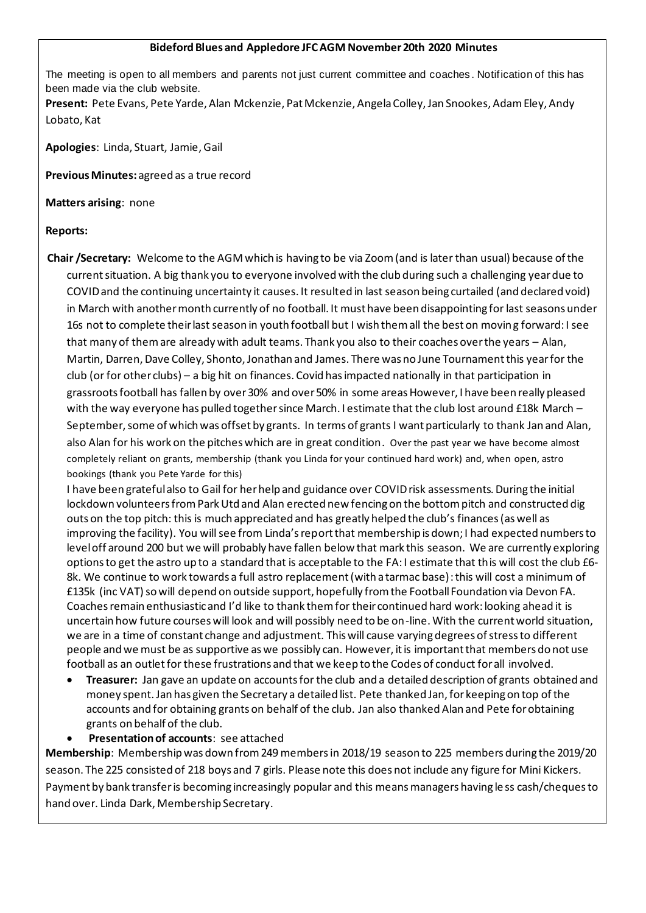#### **Bideford Blues and Appledore JFC AGM November 20th 2020 Minutes**

The meeting is open to all members and parents not just current committee and coaches . Notification of this has been made via the club website.

**Present:** Pete Evans, Pete Yarde, Alan Mckenzie, Pat Mckenzie, Angela Colley, Jan Snookes, Adam Eley, Andy Lobato, Kat

**Apologies**: Linda, Stuart, Jamie, Gail

**Previous Minutes:** agreed as a true record

**Matters arising**: none

#### **Reports:**

**Chair /Secretary:** Welcome to the AGM which is having to be via Zoom (and is later than usual) because of the current situation. A big thank you to everyone involved with the club during such a challenging year due to COVID and the continuing uncertainty it causes. It resulted in last season being curtailed (and declared void) in March with another month currently of no football. It must have been disappointing for last seasons under 16s not to complete their last season in youth football but I wish them all the best on moving forward: I see that many of them are already with adult teams. Thank you also to their coaches over the years – Alan, Martin, Darren, Dave Colley, Shonto, Jonathan and James. There was no June Tournament this year for the club (or for other clubs) – a big hit on finances. Covid has impacted nationally in that participation in grassroots football has fallen by over 30% and over 50% in some areas However, I have been really pleased with the way everyone has pulled together since March. I estimate that the club lost around £18k March – September, some of which was offset by grants. In terms of grants I want particularly to thank Jan and Alan, also Alan for his work on the pitches which are in great condition. Over the past year we have become almost completely reliant on grants, membership (thank you Linda for your continued hard work) and, when open, astro bookings (thank you Pete Yarde for this)

I have been grateful also to Gail for her help and guidance over COVID risk assessments. During the initial lockdown volunteers from Park Utd and Alan erected new fencing on the bottom pitch and constructed dig outs on the top pitch: this is much appreciated and has greatly helped the club's finances (as well as improving the facility). You will see from Linda's report that membership is down; I had expected numbers to level off around 200 but we will probably have fallen below that mark this season. We are currently exploring options to get the astro up to a standard that is acceptable to the FA: I estimate that this will cost the club £6-8k. We continue to work towards a full astro replacement (with a tarmac base): this will cost a minimum of £135k (inc VAT) so will depend on outside support, hopefully from the Football Foundation via Devon FA. Coaches remain enthusiastic and I'd like to thank them for their continued hard work: looking ahead it is uncertain how future courses will look and will possibly need to be on-line. With the current world situation, we are in a time of constant change and adjustment. This will cause varying degrees of stress to different people and we must be as supportive as we possibly can. However, it is important that members do not use football as an outlet for these frustrations and that we keep to the Codes of conduct for all involved.

- **Treasurer:** Jan gave an update on accounts for the club and a detailed description of grants obtained and money spent. Jan has given the Secretary a detailed list. Pete thanked Jan, for keeping on top of the accounts and for obtaining grants on behalf of the club. Jan also thanked Alan and Pete for obtaining grants on behalf of the club.
- **Presentation of accounts**: see attached

**Membership**: Membership was down from 249 members in 2018/19 season to 225 members during the 2019/20 season. The 225 consisted of 218 boys and 7 girls. Please note this does not include any figure for Mini Kickers. Payment by bank transfer is becoming increasingly popular and this means managers having le ss cash/cheques to hand over. Linda Dark, Membership Secretary.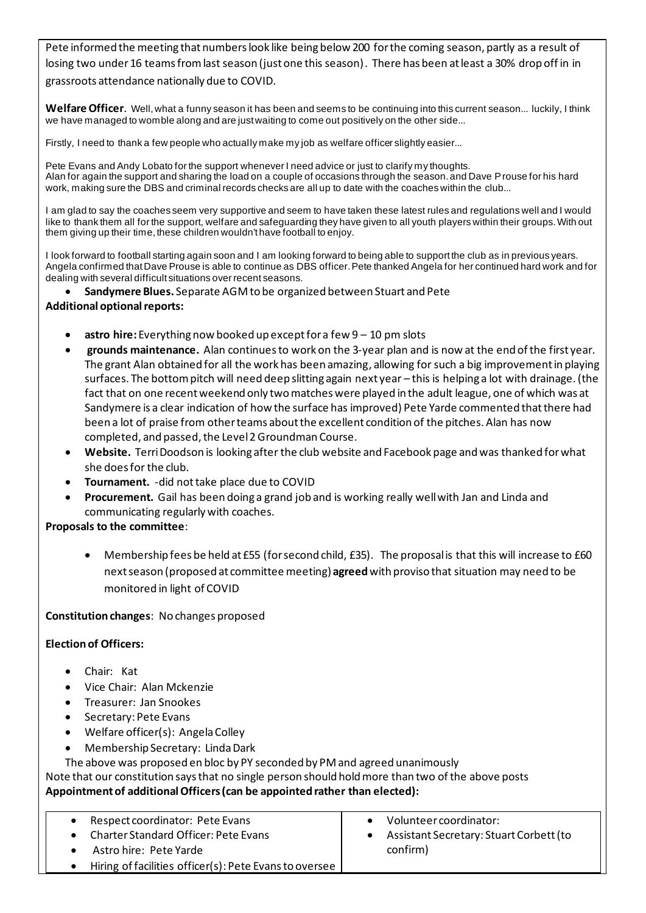Pete informed the meeting that numbers look like being below 200 for the coming season, partly as a result of losing two under 16 teams from last season (just one this season). There has been at least a 30% drop off in in grassroots attendance nationally due to COVID.

**Welfare Officer**. Well, what a funny season it has been and seems to be continuing into this current season... luckily, I think we have managed to womble along and are just waiting to come out positively on the other side...

Firstly, I need to thank a few people who actually make my job as welfare officer slightly easier...

Pete Evans and Andy Lobato for the support whenever I need advice or just to clarify my thoughts. Alan for again the support and sharing the load on a couple of occasions through the season. and Dave Prouse for his hard work, making sure the DBS and criminal records checks are all up to date with the coaches within the club...

I am glad to say the coaches seem very supportive and seem to have taken these latest rules and regulations well and I would like to thank them all for the support, welfare and safeguarding they have given to all youth players within their groups. With out them giving up their time, these children wouldn't have football to enjoy.

I look forward to football starting again soon and I am looking forward to being able to support the club as in previous years. Angela confirmed that Dave Prouse is able to continue as DBS officer. Pete thanked Angela for her continued hard work and for dealing with several difficult situations over recent seasons.

• **Sandymere Blues.** Separate AGM to be organized between Stuart and Pete

# **Additional optional reports:**

- **astro hire:** Everything now booked up except for a few 9 10 pm slots
- **grounds maintenance.** Alan continues to work on the 3-year plan and is now at the end of the first year. The grant Alan obtained for all the work has been amazing, allowing for such a big improvement in playing surfaces. The bottom pitch will need deep slitting again next year – this is helping a lot with drainage. (the fact that on one recent weekend only two matches were played in the adult league, one of which was at Sandymere is a clear indication of how the surface has improved) Pete Yarde commented that there had been a lot of praise from other teams about the excellent condition of the pitches. Alan has now completed, and passed, the Level 2 Groundman Course.
- **Website.** Terri Doodson is looking after the club website and Facebook page and was thanked for what she does for the club.
- **Tournament.** -did not take place due to COVID
- **Procurement.** Gail has been doing a grand job and is working really well with Jan and Linda and communicating regularly with coaches.

# **Proposals to the committee**:

• Membership fees be held at £55 (for second child, £35). The proposal is that this will increase to £60 next season (proposed at committee meeting) **agreed**with proviso that situation may need to be monitored in light of COVID

#### **Constitution changes**: No changes proposed

# **Election of Officers:**

- Chair: Kat
- Vice Chair: Alan Mckenzie
- Treasurer: Jan Snookes
- Secretary: Pete Evans
- Welfare officer(s): Angela Colley
- Membership Secretary: Linda Dark

The above was proposed en bloc by PY seconded by PM and agreed unanimously

Note that our constitution says that no single person should hold more than two of the above posts **Appointment of additional Officers (can be appointed rather than elected):**

| Respect coordinator: Pete Evans                        | Volunteer coordinator:                  |
|--------------------------------------------------------|-----------------------------------------|
| Charter Standard Officer: Pete Evans                   | Assistant Secretary: Stuart Corbett (to |
| Astro hire: Pete Yarde                                 | confirm)                                |
| Hiring of facilities officer(s): Pete Evans to oversee |                                         |